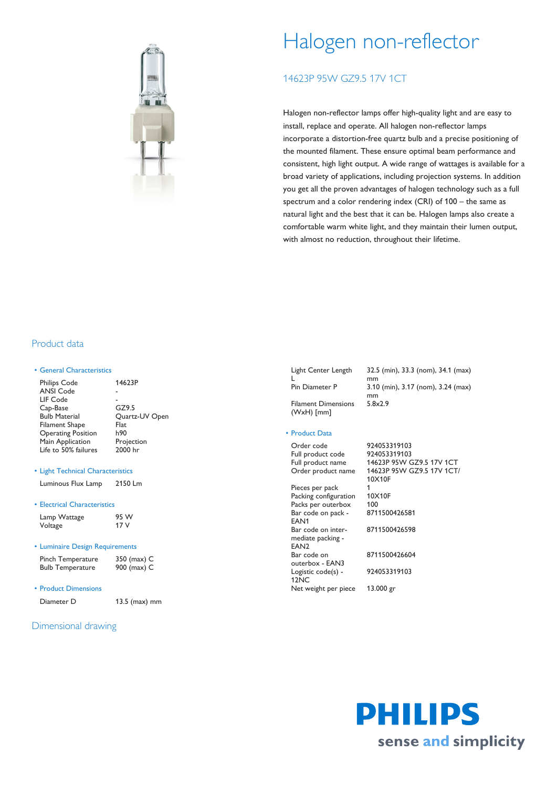

# Halogen non-reflector

## 14623P 95W GZ9.5 17V 1CT

Halogen non-reflector lamps offer high-quality light and are easy to install, replace and operate. All halogen non-reflector lamps incorporate a distortion-free quartz bulb and a precise positioning of the mounted filament. These ensure optimal beam performance and consistent, high light output. A wide range of wattages is available for a broad variety of applications, including projection systems. In addition you get all the proven advantages of halogen technology such as a full spectrum and a color rendering index (CRI) of 100 – the same as natural light and the best that it can be. Halogen lamps also create a comfortable warm white light, and they maintain their lumen output, with almost no reduction, throughout their lifetime.

## Product data

#### • General Characteristics

| <b>Philips Code</b>       | 14623P         |
|---------------------------|----------------|
| <b>ANSI Code</b>          |                |
| LIF Code                  |                |
| Cap-Base                  | GZ9.5          |
| <b>Bulb Material</b>      | Quartz-UV Open |
| <b>Filament Shape</b>     | Flat           |
| <b>Operating Position</b> | h90            |
| Main Application          | Projection     |
| Life to 50% failures      | 2000 hr        |
|                           |                |

• Light Technical Characteristics

| Luminous Flux Lamp | 2150 Lm |
|--------------------|---------|
|--------------------|---------|

#### • Electrical Characteristics

#### • Luminaire Design Requirements

| Pinch Temperature       | 350 (max) C |
|-------------------------|-------------|
| <b>Bulb Temperature</b> | 900 (max) C |

• Product Dimensions

Diameter D 13.5 (max) mm

### Dimensional drawing

Light Center Length L Filament Dimensions

32.5 (min), 33.3 (nom), 34.1 (max) mm Pin Diameter P 3.10 (min), 3.17 (nom), 3.24 (max) mm 5.8x2.9

#### • Product Data

(WxH) [mm]

Order code 924053319103<br>
Full product code 924053319103 Full product code Full product name 14623P 95W GZ9.5 17V 1CT Order product name 14623P 95W GZ9.5 17V 1CT/ 10X10F Pieces per pack 1<br>Packing configuration 10X10F Packing configuration Packs per outerbox 100 Bar code on pack - EAN1 8711500426581 Bar code on intermediate packing - EAN2 8711500426598 Bar code on outerbox - EAN3 8711500426604 Logistic code(s) - 12NC 924053319103 Net weight per piece 13.000 gr

> PHILIPS sense and simplicity